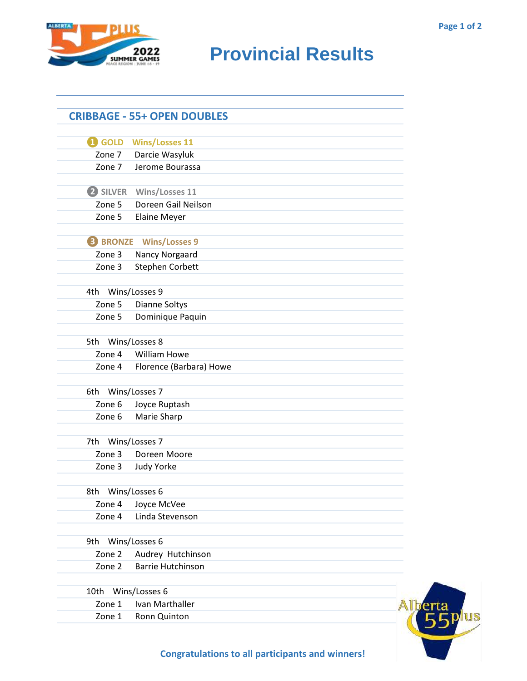

## **RIDER CAMES PROVINCIAL RESULTS**

|                   | <b>CRIBBAGE - 55+ OPEN DOUBLES</b> |  |
|-------------------|------------------------------------|--|
| <b>i</b> GOLD     | <b>Wins/Losses 11</b>              |  |
| Zone 7            | Darcie Wasyluk                     |  |
| Zone 7            | Jerome Bourassa                    |  |
|                   | 2 SILVER Wins/Losses 11            |  |
| Zone 5            | Doreen Gail Neilson                |  |
| Zone 5            | <b>Elaine Meyer</b>                |  |
|                   | <b>8 BRONZE</b> Wins/Losses 9      |  |
| Zone 3            | Nancy Norgaard                     |  |
| Zone 3            | <b>Stephen Corbett</b>             |  |
| 4th Wins/Losses 9 |                                    |  |
| Zone 5            | Dianne Soltys                      |  |
| Zone 5            | Dominique Paquin                   |  |
| 5th               | Wins/Losses 8                      |  |
| Zone 4            | <b>William Howe</b>                |  |
| Zone 4            | Florence (Barbara) Howe            |  |
| 6th               | Wins/Losses 7                      |  |
| Zone 6            | Joyce Ruptash                      |  |
| Zone 6            | Marie Sharp                        |  |
| 7th               | Wins/Losses 7                      |  |
| Zone 3            | Doreen Moore                       |  |
| Zone 3            | Judy Yorke                         |  |
| 8th               | Wins/Losses 6                      |  |
| Zone 4            | Joyce McVee                        |  |
| Zone 4            | Linda Stevenson                    |  |
| 9th               | Wins/Losses 6                      |  |
| Zone 2            | Audrey Hutchinson                  |  |
| Zone 2            | <b>Barrie Hutchinson</b>           |  |
| 10th              | Wins/Losses 6                      |  |
| Zone 1            | Ivan Marthaller                    |  |
| Zone 1            | Ronn Quinton                       |  |